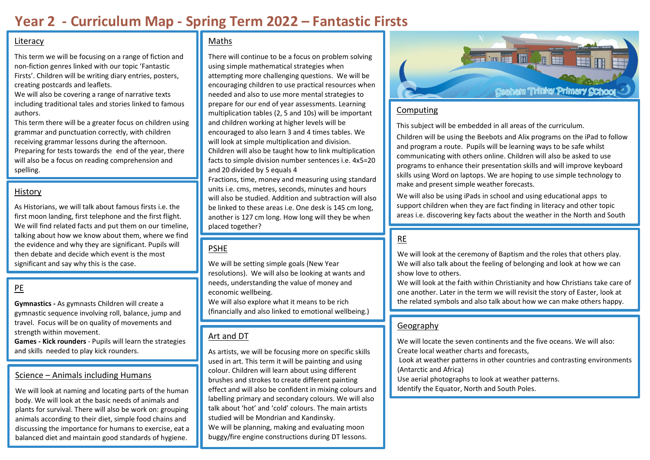# **Year 2 - Curriculum Map - Spring Term 2022 – Fantastic Firsts**

#### Literacy

This term we will be focusing on a range of fiction and non-fiction genres linked with our topic 'Fantastic Firsts'. Children will be writing diary entries, posters, creating postcards and leaflets.

We will also be covering a range of narrative texts including traditional tales and stories linked to famous authors.

This term there will be a greater focus on children using grammar and punctuation correctly, with children receiving grammar lessons during the afternoon. Preparing for tests towards the end of the year, there will also be a focus on reading comprehension and spelling.

#### History

As Historians, we will talk about famous firsts i.e. the first moon landing, first telephone and the first flight. We will find related facts and put them on our timeline, talking about how we know about them, where we find the evidence and why they are significant. Pupils will then debate and decide which event is the most significant and say why this is the case.

# PE

**Gymnastics -** As gymnasts Children will create a gymnastic sequence involving roll, balance, jump and travel. Focus will be on quality of movements and strength within movement.

**Games - Kick rounders** - Pupils will learn the strategies and skills needed to play kick rounders.

# Science – Animals including Humans

We will look at naming and locating parts of the human body. We will look at the basic needs of animals and plants for survival. There will also be work on: grouping animals according to their diet, simple food chains and discussing the importance for humans to exercise, eat a balanced diet and maintain good standards of hygiene.

## Maths

There will continue to be a focus on problem solving using simple mathematical strategies when attempting more challenging questions. We will be encouraging children to use practical resources when needed and also to use more mental strategies to prepare for our end of year assessments. Learning multiplication tables (2, 5 and 10s) will be important and children working at higher levels will be encouraged to also learn 3 and 4 times tables. We will look at simple multiplication and division. Children will also be taught how to link multiplication facts to simple division number sentences i.e. 4x5=20 and 20 divided by 5 equals 4

Fractions, time, money and measuring using standard units i.e. cms, metres, seconds, minutes and hours will also be studied. Addition and subtraction will also be linked to these areas i.e. One desk is 145 cm long, another is 127 cm long. How long will they be when placed together?

## PSHE

We will be setting simple goals (New Year resolutions). We will also be looking at wants and needs, understanding the value of money and economic wellbeing.

We will also explore what it means to be rich (financially and also linked to emotional wellbeing.)

## Art and DT

As artists, we will be focusing more on specific skills used in art. This term it will be painting and using colour. Children will learn about using different brushes and strokes to create different painting effect and will also be confident in mixing colours and labelling primary and secondary colours. We will also talk about 'hot' and 'cold' colours. The main artists studied will be Mondrian and Kandinsky. We will be planning, making and evaluating moon buggy/fire engine constructions during DT lessons.



#### Computing

This subject will be embedded in all areas of the curriculum.

Children will be using the Beebots and Alix programs on the iPad to follow and program a route. Pupils will be learning ways to be safe whilst communicating with others online. Children will also be asked to use programs to enhance their presentation skills and will improve keyboard skills using Word on laptops. We are hoping to use simple technology to make and present simple weather forecasts.

We will also be using iPads in school and using educational apps to support children when they are fact finding in literacy and other topic areas i.e. discovering key facts about the weather in the North and South

# RE

Poles.

We will look at the ceremony of Baptism and the roles that others play. We will also talk about the feeling of belonging and look at how we can show love to others.

We will look at the faith within Christianity and how Christians take care of one another. Later in the term we will revisit the story of Easter, look at the related symbols and also talk about how we can make others happy.

#### Geography

We will locate the seven continents and the five oceans. We will also: Create local weather charts and forecasts,

Look at weather patterns in other countries and contrasting environments (Antarctic and Africa)

Use aerial photographs to look at weather patterns.

Identify the Equator, North and South Poles.